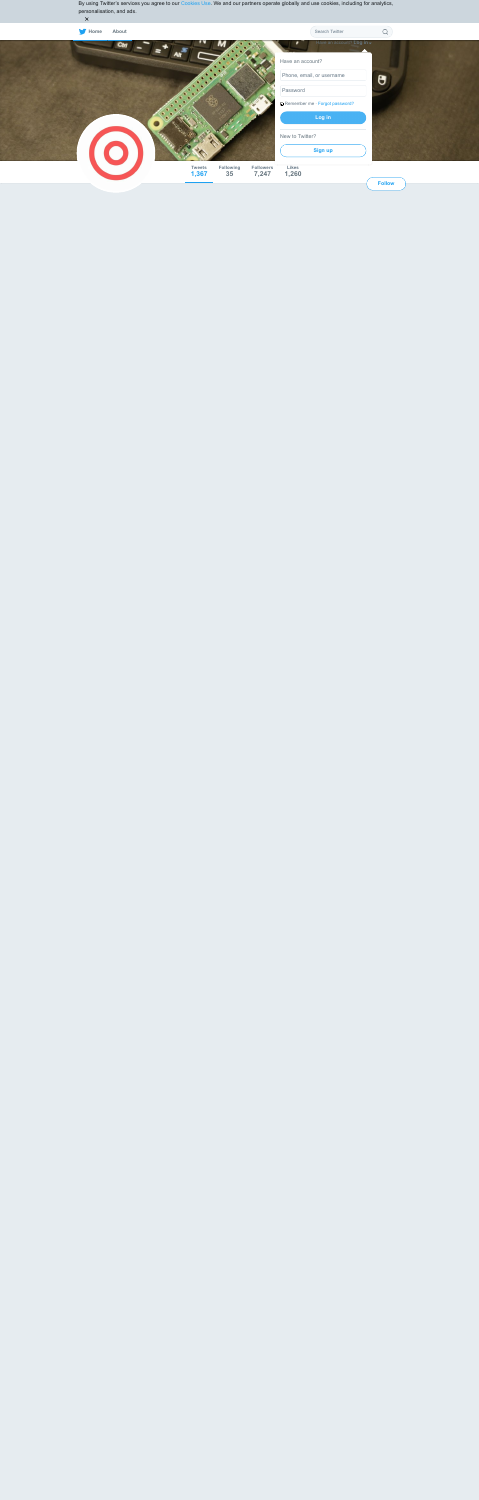